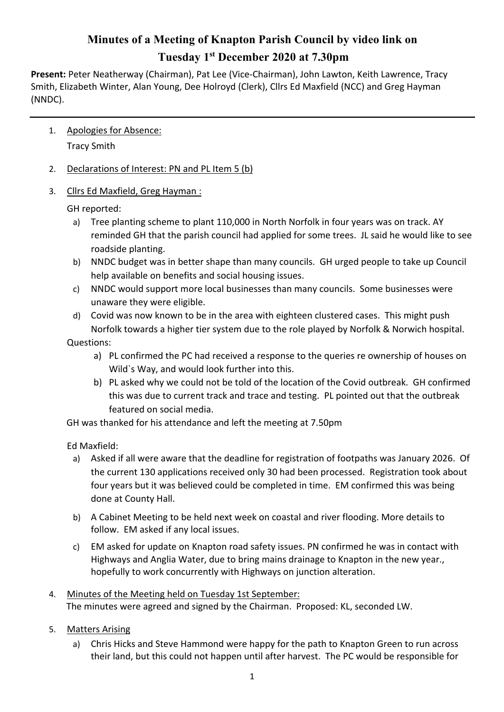## **Minutes of a Meeting of Knapton Parish Council by video link on Tuesday 1st December 2020 at 7.30pm**

**Present:** Peter Neatherway (Chairman), Pat Lee (Vice-Chairman), John Lawton, Keith Lawrence, Tracy Smith, Elizabeth Winter, Alan Young, Dee Holroyd (Clerk), Cllrs Ed Maxfield (NCC) and Greg Hayman (NNDC).

1. Apologies for Absence:

Tracy Smith

- 2. Declarations of Interest: PN and PL Item 5 (b)
- 3. Cllrs Ed Maxfield, Greg Hayman :

GH reported:

- a) Tree planting scheme to plant 110,000 in North Norfolk in four years was on track. AY reminded GH that the parish council had applied for some trees. JL said he would like to see roadside planting.
- b) NNDC budget was in better shape than many councils. GH urged people to take up Council help available on benefits and social housing issues.
- c) NNDC would support more local businesses than many councils. Some businesses were unaware they were eligible.
- d) Covid was now known to be in the area with eighteen clustered cases. This might push Norfolk towards a higher tier system due to the role played by Norfolk & Norwich hospital.

Questions:

- a) PL confirmed the PC had received a response to the queries re ownership of houses on Wild`s Way, and would look further into this.
- b) PL asked why we could not be told of the location of the Covid outbreak. GH confirmed this was due to current track and trace and testing. PL pointed out that the outbreak featured on social media.

GH was thanked for his attendance and left the meeting at 7.50pm

Ed Maxfield:

- a) Asked if all were aware that the deadline for registration of footpaths was January 2026. Of the current 130 applications received only 30 had been processed. Registration took about four years but it was believed could be completed in time. EM confirmed this was being done at County Hall.
- b) A Cabinet Meeting to be held next week on coastal and river flooding. More details to follow. EM asked if any local issues.
- c) EM asked for update on Knapton road safety issues. PN confirmed he was in contact with Highways and Anglia Water, due to bring mains drainage to Knapton in the new year., hopefully to work concurrently with Highways on junction alteration.
- 4. Minutes of the Meeting held on Tuesday 1st September: The minutes were agreed and signed by the Chairman. Proposed: KL, seconded LW.
- 5. Matters Arising
	- a) Chris Hicks and Steve Hammond were happy for the path to Knapton Green to run across their land, but this could not happen until after harvest. The PC would be responsible for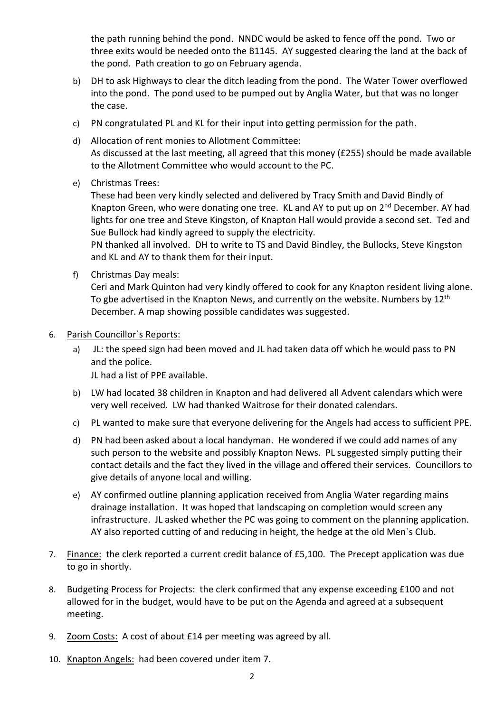the path running behind the pond. NNDC would be asked to fence off the pond. Two or three exits would be needed onto the B1145. AY suggested clearing the land at the back of the pond. Path creation to go on February agenda.

- b) DH to ask Highways to clear the ditch leading from the pond. The Water Tower overflowed into the pond. The pond used to be pumped out by Anglia Water, but that was no longer the case.
- c) PN congratulated PL and KL for their input into getting permission for the path.
- d) Allocation of rent monies to Allotment Committee: As discussed at the last meeting, all agreed that this money (£255) should be made available to the Allotment Committee who would account to the PC.
- e) Christmas Trees:

These had been very kindly selected and delivered by Tracy Smith and David Bindly of Knapton Green, who were donating one tree. KL and AY to put up on 2<sup>nd</sup> December. AY had lights for one tree and Steve Kingston, of Knapton Hall would provide a second set. Ted and Sue Bullock had kindly agreed to supply the electricity.

PN thanked all involved. DH to write to TS and David Bindley, the Bullocks, Steve Kingston and KL and AY to thank them for their input.

f) Christmas Day meals:

Ceri and Mark Quinton had very kindly offered to cook for any Knapton resident living alone. To gbe advertised in the Knapton News, and currently on the website. Numbers by  $12<sup>th</sup>$ December. A map showing possible candidates was suggested.

- 6. Parish Councillor`s Reports:
	- a) JL: the speed sign had been moved and JL had taken data off which he would pass to PN and the police.

JL had a list of PPE available.

- b) LW had located 38 children in Knapton and had delivered all Advent calendars which were very well received. LW had thanked Waitrose for their donated calendars.
- c) PL wanted to make sure that everyone delivering for the Angels had access to sufficient PPE.
- d) PN had been asked about a local handyman. He wondered if we could add names of any such person to the website and possibly Knapton News. PL suggested simply putting their contact details and the fact they lived in the village and offered their services. Councillors to give details of anyone local and willing.
- e) AY confirmed outline planning application received from Anglia Water regarding mains drainage installation. It was hoped that landscaping on completion would screen any infrastructure. JL asked whether the PC was going to comment on the planning application. AY also reported cutting of and reducing in height, the hedge at the old Men`s Club.
- 7. Finance: the clerk reported a current credit balance of £5,100. The Precept application was due to go in shortly.
- 8. Budgeting Process for Projects: the clerk confirmed that any expense exceeding £100 and not allowed for in the budget, would have to be put on the Agenda and agreed at a subsequent meeting.
- 9. Zoom Costs: A cost of about £14 per meeting was agreed by all.
- 10. Knapton Angels: had been covered under item 7.